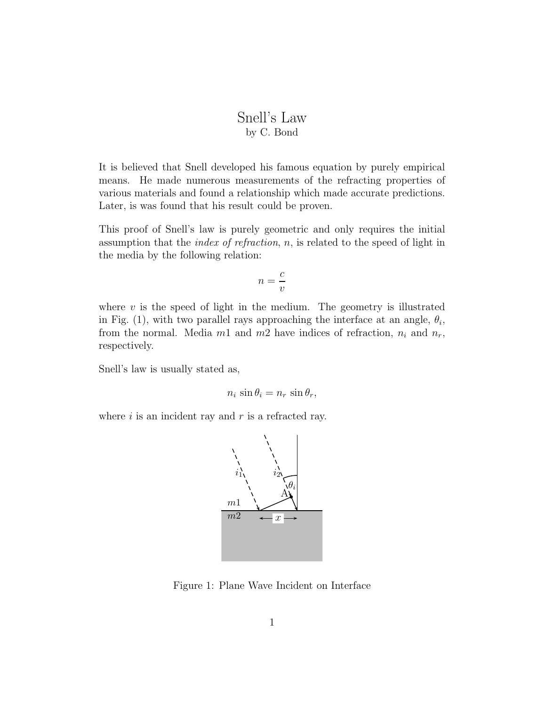## Snell's Law by C. Bond

It is believed that Snell developed his famous equation by purely empirical means. He made numerous measurements of the refracting properties of various materials and found a relationship which made accurate predictions. Later, is was found that his result could be proven.

This proof of Snell's law is purely geometric and only requires the initial assumption that the *index of refraction*,  $n$ , is related to the speed of light in the media by the following relation:

$$
n = \frac{c}{v}
$$

where  $v$  is the speed of light in the medium. The geometry is illustrated in Fig. (1), with two parallel rays approaching the interface at an angle,  $\theta_i$ , from the normal. Media  $m_1$  and  $m_2$  have indices of refraction,  $n_i$  and  $n_r$ , respectively.

Snell's law is usually stated as,

$$
n_i \sin \theta_i = n_r \sin \theta_r,
$$

where  $i$  is an incident ray and  $r$  is a refracted ray.



Figure 1: Plane Wave Incident on Interface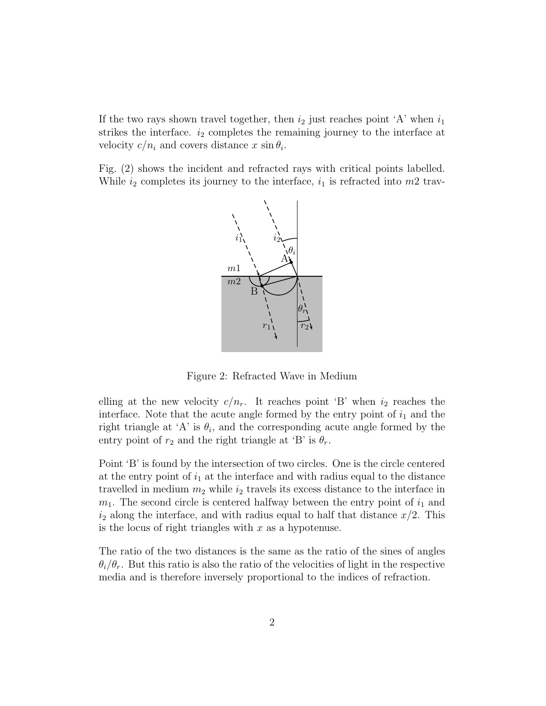If the two rays shown travel together, then  $i_2$  just reaches point 'A' when  $i_1$ strikes the interface.  $i_2$  completes the remaining journey to the interface at velocity  $c/n_i$  and covers distance x  $\sin \theta_i$ .

Fig. (2) shows the incident and refracted rays with critical points labelled. While  $i_2$  completes its journey to the interface,  $i_1$  is refracted into  $m2$  trav-



Figure 2: Refracted Wave in Medium

elling at the new velocity  $c/n_r$ . It reaches point 'B' when  $i_2$  reaches the interface. Note that the acute angle formed by the entry point of  $i_1$  and the right triangle at 'A' is  $\theta_i$ , and the corresponding acute angle formed by the entry point of  $r_2$  and the right triangle at 'B' is  $\theta_r$ .

Point 'B' is found by the intersection of two circles. One is the circle centered at the entry point of  $i_1$  at the interface and with radius equal to the distance travelled in medium  $m_2$  while  $i_2$  travels its excess distance to the interface in  $m_1$ . The second circle is centered halfway between the entry point of  $i_1$  and  $i_2$  along the interface, and with radius equal to half that distance  $x/2$ . This is the locus of right triangles with  $x$  as a hypotenuse.

The ratio of the two distances is the same as the ratio of the sines of angles  $\theta_i/\theta_r$ . But this ratio is also the ratio of the velocities of light in the respective media and is therefore inversely proportional to the indices of refraction.